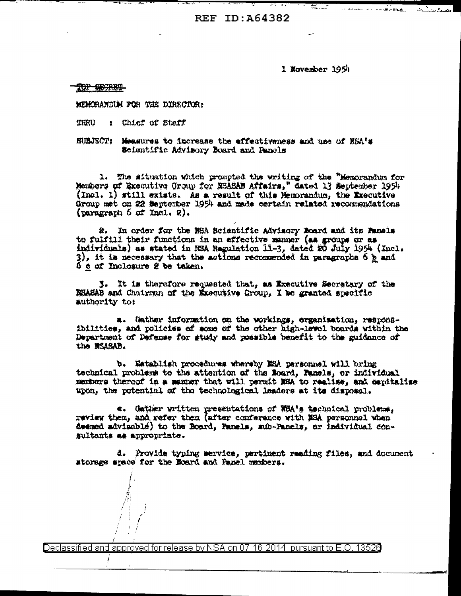REF TD: 464382

1 Movember 1954

8 T

TOP BECRET

MEMORANDUM FOR THE DIRECTOR:

: Chief of Staff THRU

BUBJECT: Measures to increase the effectiveness and use of NSA's Scientific Advisory Board and Panels

1. The situation which prompted the writing of the "Memorandum for Members of Executive Group for NSASAB Affairs," dated 13 September 1954 (Incl. 1) still exists. As a result of this Memorandum, the Executive Group met on 22 September 1954 and mede certain related recommendations (paragraph  $6$  of Incl. 2).

2. In order for the NSA Scientific Advisory Board and its Panels to fulfill their functions in an effective manner (as groups or as individuals) as stated in MSA Regulation 11-3, dated 20 July 1954 (Incl. 3), it is necessary that the actions recommended in paragraphs 6 p and 6 e of Inclosure 2 be taken.

3. It is therefore requested that, as Executive Secretary of the NSASAB and Chairman of the Executive Group, I be granted specific authority to:

a. Gather information on the workings, organisation, responsibilities, and policies of some of the other high-level boards within the Department of Defense for study and possible benefit to the guidance of the MSABAB.

b. Establish procedures whereby MEA personnel will bring technical problems to the attention of the Roard, Fanels, or individual members thereof in a manner that will permit MBA to realize, and capitalize upon, the potential of the technological leaders at its disposal.

e. Gather written presentations of NSA's technical problems, review them, and refer them (after conference with NSA personnel when deemed advisable) to the Board, Panels, sub-Panels, or individual consultants as appropriate.

d. Provide typing service, pertinent reading files, and document storage space for the Board and Panel members.

)eclassified and approved for release by NSA on 07-16-2014  $\,$  pursuant to E.O. 13526  $\,$